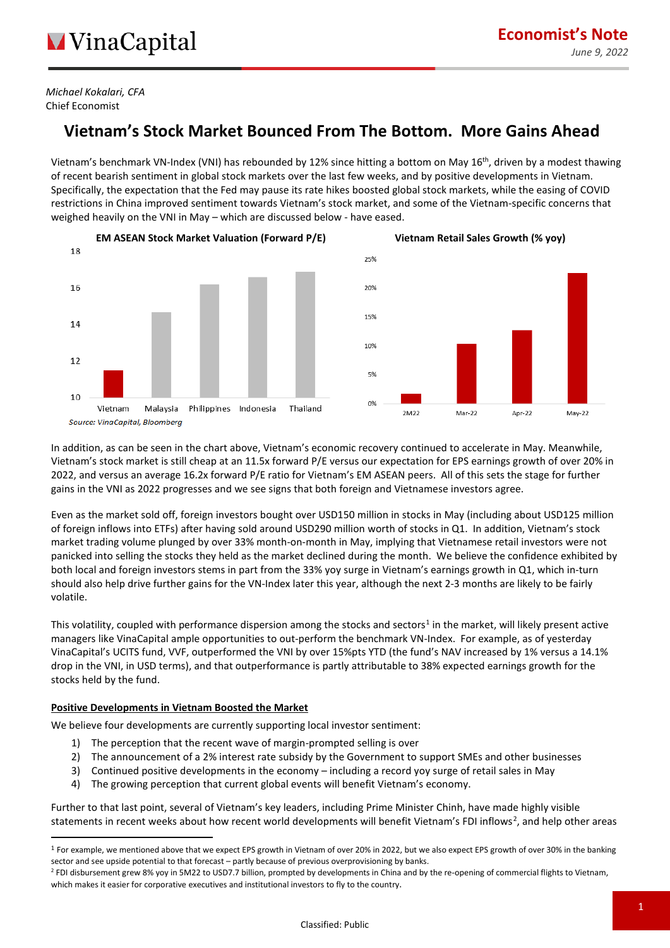*Michael Kokalari, CFA* Chief Economist

# **Vietnam's Stock Market Bounced From The Bottom. More Gains Ahead**

Vietnam's benchmark VN-Index (VNI) has rebounded by 12% since hitting a bottom on May 16<sup>th</sup>, driven by a modest thawing of recent bearish sentiment in global stock markets over the last few weeks, and by positive developments in Vietnam. Specifically, the expectation that the Fed may pause its rate hikes boosted global stock markets, while the easing of COVID restrictions in China improved sentiment towards Vietnam's stock market, and some of the Vietnam-specific concerns that weighed heavily on the VNI in May – which are discussed below - have eased.





In addition, as can be seen in the chart above, Vietnam's economic recovery continued to accelerate in May. Meanwhile, Vietnam's stock market is still cheap at an 11.5x forward P/E versus our expectation for EPS earnings growth of over 20% in 2022, and versus an average 16.2x forward P/E ratio for Vietnam's EM ASEAN peers. All of this sets the stage for further gains in the VNI as 2022 progresses and we see signs that both foreign and Vietnamese investors agree.

Even as the market sold off, foreign investors bought over USD150 million in stocks in May (including about USD125 million of foreign inflows into ETFs) after having sold around USD290 million worth of stocks in Q1. In addition, Vietnam's stock market trading volume plunged by over 33% month-on-month in May, implying that Vietnamese retail investors were not panicked into selling the stocks they held as the market declined during the month. We believe the confidence exhibited by both local and foreign investors stems in part from the 33% yoy surge in Vietnam's earnings growth in Q1, which in-turn should also help drive further gains for the VN-Index later this year, although the next 2-3 months are likely to be fairly volatile.

This volatility, coupled with performance dispersion among the stocks and sectors<sup>[1](#page-0-0)</sup> in the market, will likely present active managers like VinaCapital ample opportunities to out-perform the benchmark VN-Index. For example, as of yesterday VinaCapital's UCITS fund, VVF, outperformed the VNI by over 15%pts YTD (the fund's NAV increased by 1% versus a 14.1% drop in the VNI, in USD terms), and that outperformance is partly attributable to 38% expected earnings growth for the stocks held by the fund.

# **Positive Developments in Vietnam Boosted the Market**

We believe four developments are currently supporting local investor sentiment:

- 1) The perception that the recent wave of margin-prompted selling is over
- 2) The announcement of a 2% interest rate subsidy by the Government to support SMEs and other businesses
- 3) Continued positive developments in the economy including a record yoy surge of retail sales in May
- 4) The growing perception that current global events will benefit Vietnam's economy.

Further to that last point, several of Vietnam's key leaders, including Prime Minister Chinh, have made highly visible statements in recent weeks about how recent world developments will benefit Vietnam's FDI inflows<sup>[2](#page-0-1)</sup>, and help other areas

<span id="page-0-0"></span><sup>&</sup>lt;sup>1</sup> For example, we mentioned above that we expect EPS growth in Vietnam of over 20% in 2022, but we also expect EPS growth of over 30% in the banking sector and see upside potential to that forecast – partly because of previous overprovisioning by banks.

<span id="page-0-1"></span><sup>&</sup>lt;sup>2</sup> FDI disbursement grew 8% yoy in 5M22 to USD7.7 billion, prompted by developments in China and by the re-opening of commercial flights to Vietnam, which makes it easier for corporative executives and institutional investors to fly to the country.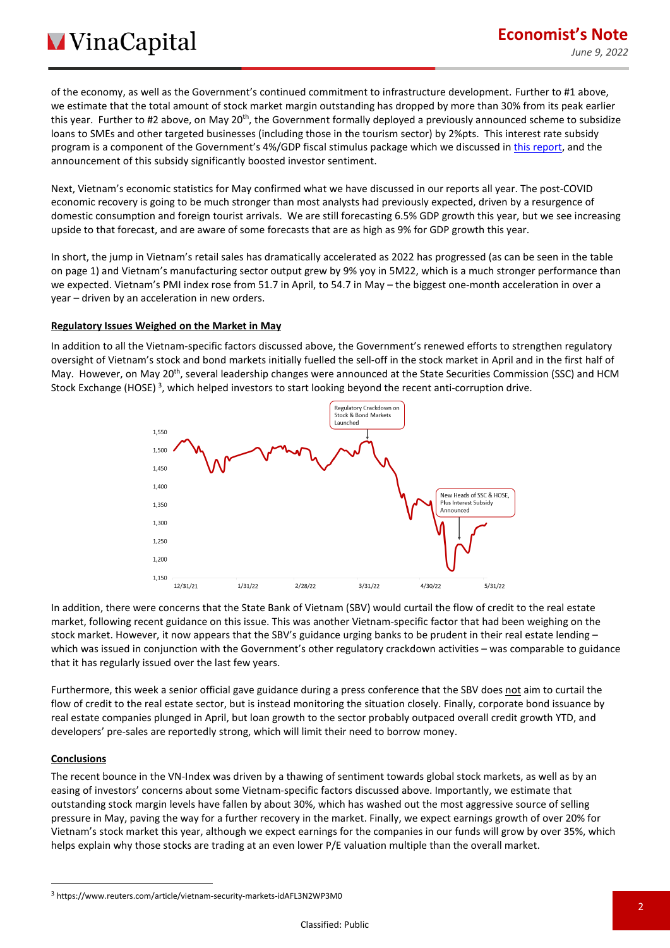<span id="page-1-0"></span>of the economy, as well as the Government's continued commitment to infrastructure development. [F](#page-1-0)urther to #1 above, we estimate that the total amount of stock market margin outstanding has dropped by more than 30% from its peak earlier this year. Further to #2 above, on May 20<sup>th</sup>, the Government formally deployed a previously announced scheme to subsidize loans to SMEs and other targeted businesses (including those in the tourism sector) by 2%pts. This interest rate subsidy program is a component of the Government's 4%/GDP fiscal stimulus package which we discussed i[n this report,](https://vinacapital.com/wp-content/uploads/2022/02/VinaCapital-Insights-Fiscal-Stimulus-Package-to-Support-GDP-Growth-in-2022.pdf) and the announcement of this subsidy significantly boosted investor sentiment.

Next, Vietnam's economic statistics for May confirmed what we have discussed in our reports all year. The post-COVID economic recovery is going to be much stronger than most analysts had previously expected, driven by a resurgence of domestic consumption and foreign tourist arrivals. We are still forecasting 6.5% GDP growth this year, but we see increasing upside to that forecast, and are aware of some forecasts that are as high as 9% for GDP growth this year.

In short, the jump in Vietnam's retail sales has dramatically accelerated as 2022 has progressed (as can be seen in the table on page 1) and Vietnam's manufacturing sector output grew by 9% yoy in 5M22, which is a much stronger performance than we expected. Vietnam's PMI index rose from 51.7 in April, to 54.7 in May – the biggest one-month acceleration in over a year – driven by an acceleration in new orders.

### **Regulatory Issues Weighed on the Market in May**

In addition to all the Vietnam-specific factors discussed above, the Government's renewed efforts to strengthen regulatory oversight of Vietnam's stock and bond markets initially fuelled the sell-off in the stock market in April and in the first half of May. However, on May 20<sup>th</sup>, several leadership changes were announced at the State Securities Commission (SSC) and HCM Stock Exchange (HOSE)<sup>[3](#page-1-0)</sup>, which helped investors to start looking beyond the recent anti-corruption drive.



In addition, there were concerns that the State Bank of Vietnam (SBV) would curtail the flow of credit to the real estate market, following recent guidance on this issue. This was another Vietnam-specific factor that had been weighing on the stock market. However, it now appears that the SBV's guidance urging banks to be prudent in their real estate lending – which was issued in conjunction with the Government's other regulatory crackdown activities – was comparable to guidance that it has regularly issued over the last few years.

Furthermore, this week a senior official gave guidance during a press conference that the SBV does not aim to curtail the flow of credit to the real estate sector, but is instead monitoring the situation closely. Finally, corporate bond issuance by real estate companies plunged in April, but loan growth to the sector probably outpaced overall credit growth YTD, and developers' pre-sales are reportedly strong, which will limit their need to borrow money.

# **Conclusions**

The recent bounce in the VN-Index was driven by a thawing of sentiment towards global stock markets, as well as by an easing of investors' concerns about some Vietnam-specific factors discussed above. Importantly, we estimate that outstanding stock margin levels have fallen by about 30%, which has washed out the most aggressive source of selling pressure in May, paving the way for a further recovery in the market. Finally, we expect earnings growth of over 20% for Vietnam's stock market this year, although we expect earnings for the companies in our funds will grow by over 35%, which helps explain why those stocks are trading at an even lower P/E valuation multiple than the overall market.

<sup>3</sup> https://www.reuters.com/article/vietnam-security-markets-idAFL3N2WP3M0